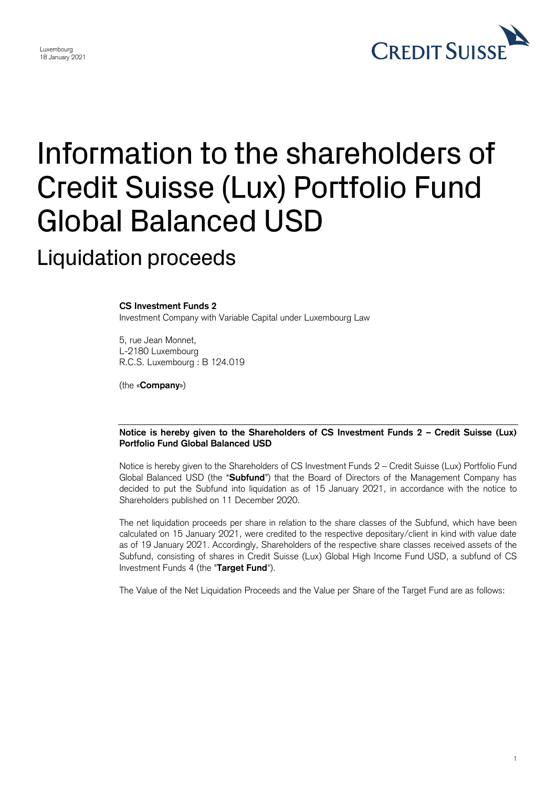

1

## Information to the shareholders of Credit Suisse (Lux) Portfolio Fund Global Balanced USD

Liquidation proceeds

## **CS Investment Funds 2**

Investment Company with Variable Capital under Luxembourg Law

5, rue Jean Monnet, L-2180 Luxembourg R.C.S. Luxembourg : B 124.019

(the «**Company**»)

## **Notice is hereby given to the Shareholders of CS Investment Funds 2 – Credit Suisse (Lux) Portfolio Fund Global Balanced USD**

 Notice is hereby given to the Shareholders of CS Investment Funds 2 – Credit Suisse (Lux) Portfolio Fund Global Balanced USD (the "**Subfund**") that the Board of Directors of the Management Company has decided to put the Subfund into liquidation as of 15 January 2021, in accordance with the notice to Shareholders published on 11 December 2020.

 The net liquidation proceeds per share in relation to the share classes of the Subfund, which have been calculated on 15 January 2021, were credited to the respective depositary/client in kind with value date as of 19 January 2021. Accordingly, Shareholders of the respective share classes received assets of the Subfund, consisting of shares in Credit Suisse (Lux) Global High Income Fund USD, a subfund of CS Investment Funds 4 (the "**Target Fund**").

The Value of the Net Liquidation Proceeds and the Value per Share of the Target Fund are as follows: